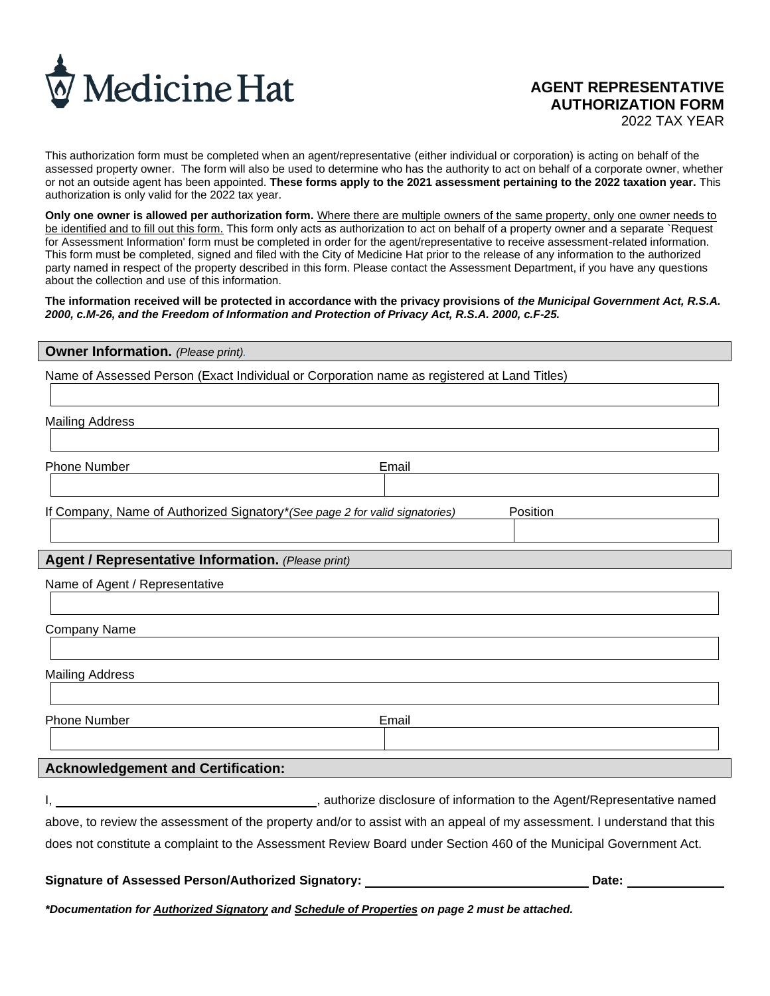

# **AGENT REPRESENTATIVE AUTHORIZATION FORM**

2022 TAX YEAR

This authorization form must be completed when an agent/representative (either individual or corporation) is acting on behalf of the assessed property owner. The form will also be used to determine who has the authority to act on behalf of a corporate owner, whether or not an outside agent has been appointed. **These forms apply to the 2021 assessment pertaining to the 2022 taxation year.** This authorization is only valid for the 2022 tax year.

**Only one owner is allowed per authorization form.** Where there are multiple owners of the same property, only one owner needs to be identified and to fill out this form. This form only acts as authorization to act on behalf of a property owner and a separate `Request for Assessment Information' form must be completed in order for the agent/representative to receive assessment-related information. This form must be completed, signed and filed with the City of Medicine Hat prior to the release of any information to the authorized party named in respect of the property described in this form. Please contact the Assessment Department, if you have any questions about the collection and use of this information.

The information received will be protected in accordance with the privacy provisions of *the Municipal Government Act, R.S.A. 2000, c.M-26, and the Freedom of Information and Protection of Privacy Act, R.S.A. 2000, c.F-25.*

#### **Owner Information.** *(Please print).*

Name of Assessed Person (Exact Individual or Corporation name as registered at Land Titles)

Mailing Address

| Phone Number | Email |
|--------------|-------|
|--------------|-------|

If Company, Name of Authorized Signatory\**(See page 2 for valid signatories)* Position

#### **Agent / Representative Information.** *(Please print)*

Company Name

Mailing Address

Phone Number **Email** 

### **Acknowledgement and Certification:**

I, **the contract of information to the Agent/Representative named**  $\blacksquare$ , authorize disclosure of information to the Agent/Representative named above, to review the assessment of the property and/or to assist with an appeal of my assessment. I understand that this does not constitute a complaint to the Assessment Review Board under Section 460 of the Municipal Government Act.

## Signature of Assessed Person/Authorized Signatory: **Diamon Common Contract Contract Contract Contract Contract Co**

*\*Documentation for Authorized Signatory and Schedule of Properties on page 2 must be attached.*